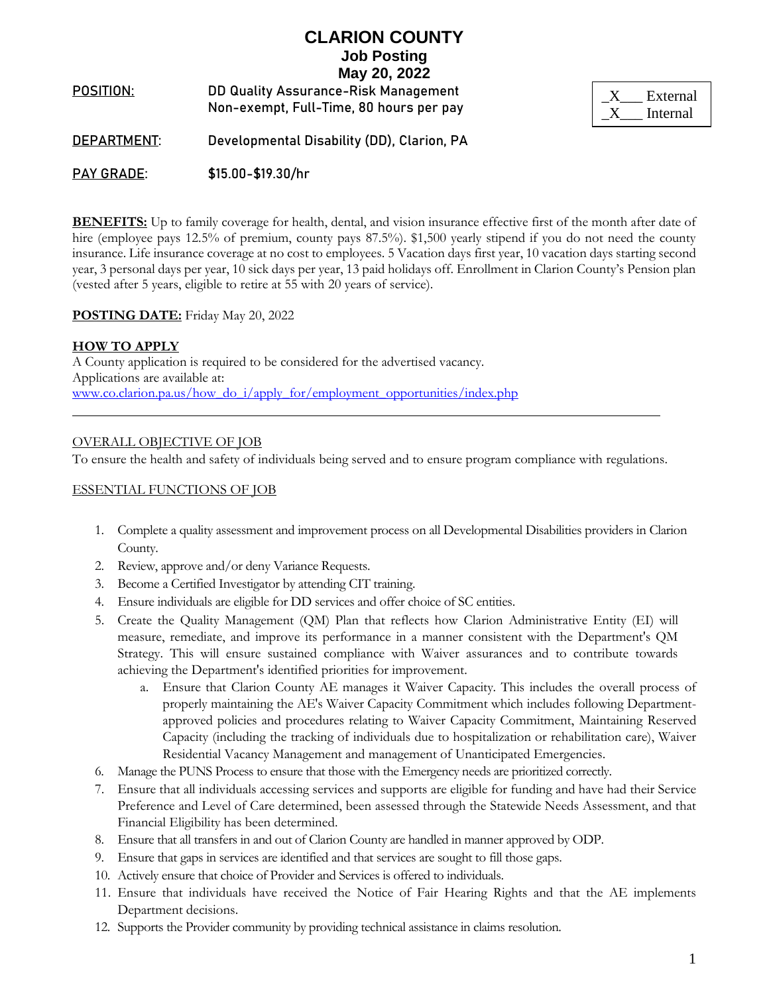**POSITION**: DD Quality Assurance-Risk Management Non-exempt, Full-Time, 80 hours per pay

| External |
|----------|
| Internal |

**DEPARTMENT**: Developmental Disability (DD), Clarion, PA

**PAY GRADE**: \$15.00-\$19.30/hr

**BENEFITS:** Up to family coverage for health, dental, and vision insurance effective first of the month after date of hire (employee pays 12.5% of premium, county pays 87.5%). \$1,500 yearly stipend if you do not need the county insurance. Life insurance coverage at no cost to employees. 5 Vacation days first year, 10 vacation days starting second year, 3 personal days per year, 10 sick days per year, 13 paid holidays off. Enrollment in Clarion County's Pension plan (vested after 5 years, eligible to retire at 55 with 20 years of service).

## **POSTING DATE:** Friday May 20, 2022

### **HOW TO APPLY**

A County application is required to be considered for the advertised vacancy. Applications are available at: [www.co.clarion.pa.us/how\\_do\\_i/apply\\_for/employment\\_opportunities/index.php](http://www.co.clarion.pa.us/how_do_i/apply_for/employment_opportunities/index.php)

### OVERALL OBJECTIVE OF JOB

To ensure the health and safety of individuals being served and to ensure program compliance with regulations.

### ESSENTIAL FUNCTIONS OF JOB

- 1. Complete a quality assessment and improvement process on all Developmental Disabilities providers in Clarion County.
- 2. Review, approve and/or deny Variance Requests.
- 3. Become a Certified Investigator by attending CIT training.
- 4. Ensure individuals are eligible for DD services and offer choice of SC entities.
- 5. Create the Quality Management (QM) Plan that reflects how Clarion Administrative Entity (EI) will measure, remediate, and improve its performance in a manner consistent with the Department's QM Strategy. This will ensure sustained compliance with Waiver assurances and to contribute towards achieving the Department's identified priorities for improvement.
	- a. Ensure that Clarion County AE manages it Waiver Capacity. This includes the overall process of properly maintaining the AE's Waiver Capacity Commitment which includes following Departmentapproved policies and procedures relating to Waiver Capacity Commitment, Maintaining Reserved Capacity (including the tracking of individuals due to hospitalization or rehabilitation care), Waiver Residential Vacancy Management and management of Unanticipated Emergencies.
- 6. Manage the PUNS Process to ensure that those with the Emergency needs are prioritized correctly.
- 7. Ensure that all individuals accessing services and supports are eligible for funding and have had their Service Preference and Level of Care determined, been assessed through the Statewide Needs Assessment, and that Financial Eligibility has been determined.
- 8. Ensure that all transfers in and out of Clarion County are handled in manner approved by ODP.
- 9. Ensure that gaps in services are identified and that services are sought to fill those gaps.
- 10. Actively ensure that choice of Provider and Services is offered to individuals.
- 11. Ensure that individuals have received the Notice of Fair Hearing Rights and that the AE implements Department decisions.
- 12. Supports the Provider community by providing technical assistance in claims resolution.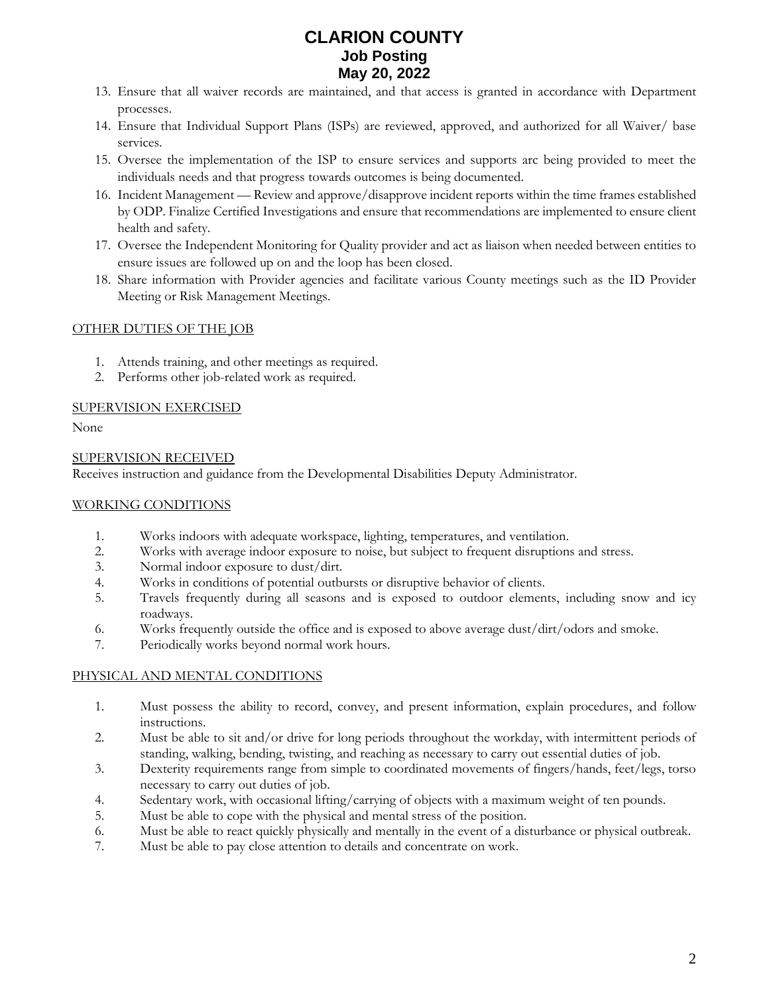- 13. Ensure that all waiver records are maintained, and that access is granted in accordance with Department processes.
- 14. Ensure that Individual Support Plans (ISPs) are reviewed, approved, and authorized for all Waiver/ base services.
- 15. Oversee the implementation of the ISP to ensure services and supports arc being provided to meet the individuals needs and that progress towards outcomes is being documented.
- 16. Incident Management Review and approve/disapprove incident reports within the time frames established by ODP. Finalize Certified Investigations and ensure that recommendations are implemented to ensure client health and safety.
- 17. Oversee the Independent Monitoring for Quality provider and act as liaison when needed between entities to ensure issues are followed up on and the loop has been closed.
- 18. Share information with Provider agencies and facilitate various County meetings such as the ID Provider Meeting or Risk Management Meetings.

## OTHER DUTIES OF THE JOB

- 1. Attends training, and other meetings as required.
- 2. Performs other job-related work as required.

## SUPERVISION EXERCISED

None

## SUPERVISION RECEIVED

Receives instruction and guidance from the Developmental Disabilities Deputy Administrator.

## WORKING CONDITIONS

- 1. Works indoors with adequate workspace, lighting, temperatures, and ventilation.
- 2. Works with average indoor exposure to noise, but subject to frequent disruptions and stress.
- 3. Normal indoor exposure to dust/dirt.
- 4. Works in conditions of potential outbursts or disruptive behavior of clients.
- 5. Travels frequently during all seasons and is exposed to outdoor elements, including snow and icy roadways.
- 6. Works frequently outside the office and is exposed to above average dust/dirt/odors and smoke.
- 7. Periodically works beyond normal work hours.

## PHYSICAL AND MENTAL CONDITIONS

- 1. Must possess the ability to record, convey, and present information, explain procedures, and follow instructions.
- 2. Must be able to sit and/or drive for long periods throughout the workday, with intermittent periods of standing, walking, bending, twisting, and reaching as necessary to carry out essential duties of job.
- 3. Dexterity requirements range from simple to coordinated movements of fingers/hands, feet/legs, torso necessary to carry out duties of job.
- 4. Sedentary work, with occasional lifting/carrying of objects with a maximum weight of ten pounds.
- 5. Must be able to cope with the physical and mental stress of the position.
- 6. Must be able to react quickly physically and mentally in the event of a disturbance or physical outbreak.
- 7. Must be able to pay close attention to details and concentrate on work.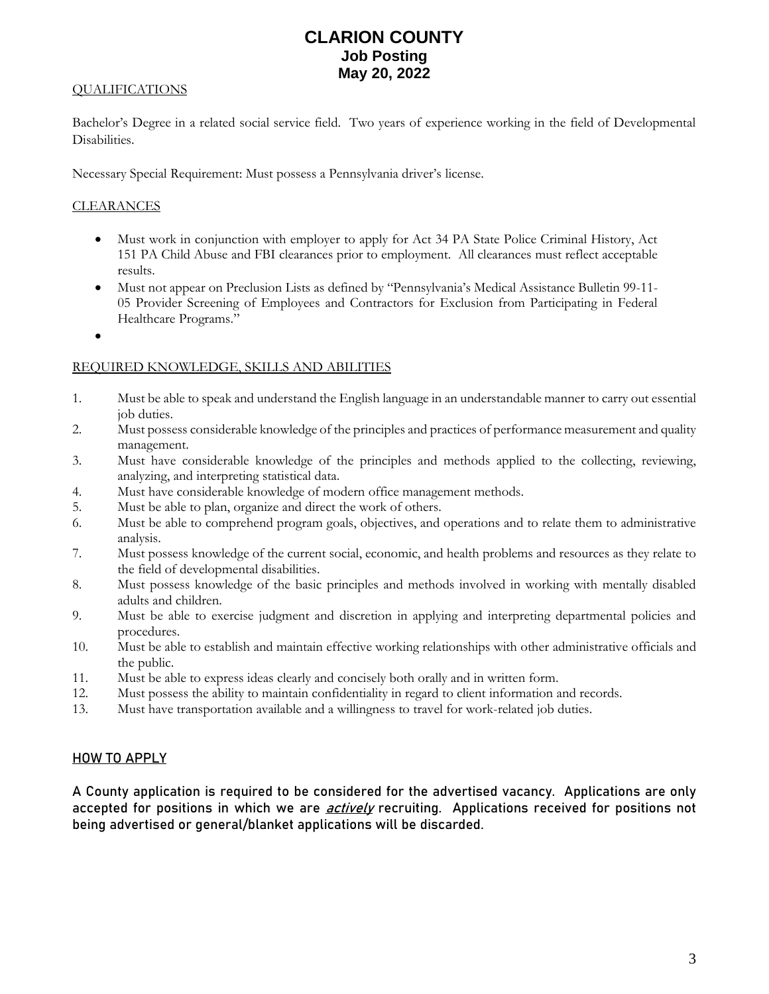## QUALIFICATIONS

Bachelor's Degree in a related social service field. Two years of experience working in the field of Developmental Disabilities.

Necessary Special Requirement: Must possess a Pennsylvania driver's license.

### **CLEARANCES**

- Must work in conjunction with employer to apply for Act 34 PA State Police Criminal History, Act 151 PA Child Abuse and FBI clearances prior to employment. All clearances must reflect acceptable results.
- Must not appear on Preclusion Lists as defined by "Pennsylvania's Medical Assistance Bulletin 99-11- 05 Provider Screening of Employees and Contractors for Exclusion from Participating in Federal Healthcare Programs."
- •

### REQUIRED KNOWLEDGE, SKILLS AND ABILITIES

- 1. Must be able to speak and understand the English language in an understandable manner to carry out essential job duties.
- 2. Must possess considerable knowledge of the principles and practices of performance measurement and quality management.
- 3. Must have considerable knowledge of the principles and methods applied to the collecting, reviewing, analyzing, and interpreting statistical data.
- 4. Must have considerable knowledge of modern office management methods.
- 5. Must be able to plan, organize and direct the work of others.
- 6. Must be able to comprehend program goals, objectives, and operations and to relate them to administrative analysis.
- 7. Must possess knowledge of the current social, economic, and health problems and resources as they relate to the field of developmental disabilities.
- 8. Must possess knowledge of the basic principles and methods involved in working with mentally disabled adults and children.
- 9. Must be able to exercise judgment and discretion in applying and interpreting departmental policies and procedures.
- 10. Must be able to establish and maintain effective working relationships with other administrative officials and the public.
- 11. Must be able to express ideas clearly and concisely both orally and in written form.
- 12. Must possess the ability to maintain confidentiality in regard to client information and records.
- 13. Must have transportation available and a willingness to travel for work-related job duties.

#### **HOW TO APPLY**

A County application is required to be considered for the advertised vacancy. Applications are only accepted for positions in which we are *actively* recruiting. Applications received for positions not being advertised or general/blanket applications will be discarded.